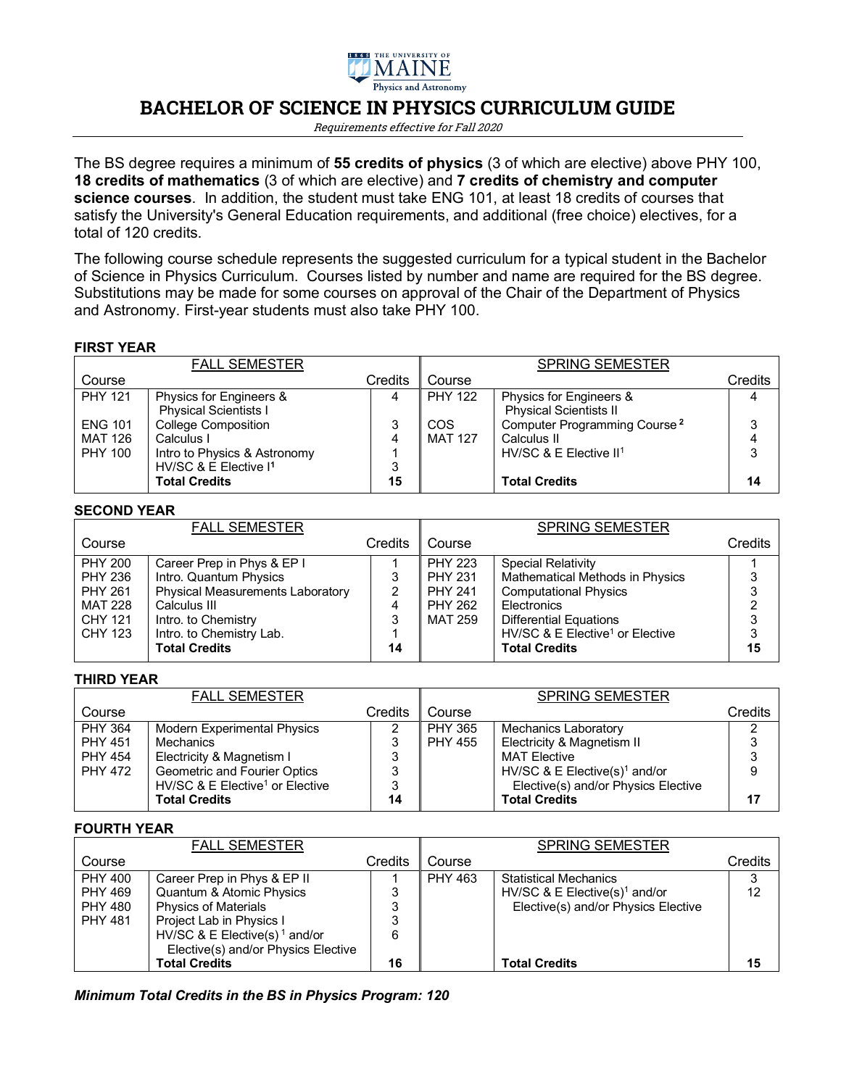

# **BACHELOR OF SCIENCE IN PHYSICS CURRICULUM GUIDE**

Requirements effective for Fall 2020

The BS degree requires a minimum of **55 credits of physics** (3 of which are elective) above PHY 100, **18 credits of mathematics** (3 of which are elective) and **7 credits of chemistry and computer science courses**. In addition, the student must take ENG 101, at least 18 credits of courses that satisfy the University's General Education requirements, and additional (free choice) electives, for a total of 120 credits.

The following course schedule represents the suggested curriculum for a typical student in the Bachelor of Science in Physics Curriculum. Courses listed by number and name are required for the BS degree. Substitutions may be made for some courses on approval of the Chair of the Department of Physics and Astronomy. First-year students must also take PHY 100.

## **FIRST YEAR**

|                                             | <b>FALL SEMESTER</b>                                                                                          |             |                              | <b>SPRING SEMESTER</b>                                                              |         |
|---------------------------------------------|---------------------------------------------------------------------------------------------------------------|-------------|------------------------------|-------------------------------------------------------------------------------------|---------|
| Course                                      |                                                                                                               | Credits     | Course                       |                                                                                     | Credits |
| <b>PHY 121</b>                              | Physics for Engineers &<br><b>Physical Scientists I</b>                                                       |             | <b>PHY 122</b>               | Physics for Engineers &<br><b>Physical Scientists II</b>                            |         |
| <b>ENG 101</b><br>MAT 126<br><b>PHY 100</b> | <b>College Composition</b><br>Calculus I<br>Intro to Physics & Astronomy<br>HV/SC & E Elective I <sup>1</sup> | 3<br>4<br>3 | <b>COS</b><br><b>MAT 127</b> | Computer Programming Course <sup>2</sup><br>Calculus II<br>HV/SC & E Elective $II1$ | 3<br>3  |
|                                             | <b>Total Credits</b>                                                                                          | 15          |                              | <b>Total Credits</b>                                                                | 14      |

#### **SECOND YEAR**

|                | <b>FALL SEMESTER</b>                    |         |                | <b>SPRING SEMESTER</b>                      |         |
|----------------|-----------------------------------------|---------|----------------|---------------------------------------------|---------|
| Course         |                                         | Credits | Course         |                                             | Credits |
| <b>PHY 200</b> | Career Prep in Phys & EP I              |         | <b>PHY 223</b> | <b>Special Relativity</b>                   |         |
| <b>PHY 236</b> | Intro. Quantum Physics                  | 3       | <b>PHY 231</b> | <b>Mathematical Methods in Physics</b>      |         |
| <b>PHY 261</b> | <b>Physical Measurements Laboratory</b> | 2       | <b>PHY 241</b> | <b>Computational Physics</b>                |         |
| <b>MAT 228</b> | Calculus III                            |         | <b>PHY 262</b> | <b>Electronics</b>                          |         |
| <b>CHY 121</b> | Intro. to Chemistry                     | 3       | <b>MAT 259</b> | <b>Differential Equations</b>               |         |
| CHY 123        | Intro. to Chemistry Lab.                |         |                | HV/SC & E Elective <sup>1</sup> or Elective |         |
|                | <b>Total Credits</b>                    | 14      |                | <b>Total Credits</b>                        | 15      |
|                |                                         |         |                |                                             |         |

### **THIRD YEAR**

|                | <b>FALL SEMESTER</b>                        |         |                | <b>SPRING SEMESTER</b>                    |         |
|----------------|---------------------------------------------|---------|----------------|-------------------------------------------|---------|
| Course         |                                             | Credits | Course         |                                           | Credits |
| <b>PHY 364</b> | <b>Modern Experimental Physics</b>          |         | <b>PHY 365</b> | <b>Mechanics Laboratory</b>               | ◠       |
| <b>PHY 451</b> | Mechanics                                   | 3       | PHY 455        | Electricity & Magnetism II                |         |
| <b>PHY 454</b> | Electricity & Magnetism I                   | 3       |                | <b>MAT Elective</b>                       |         |
| <b>PHY 472</b> | Geometric and Fourier Optics                | 3       |                | HV/SC & E Elective(s) <sup>1</sup> and/or | 9       |
|                | HV/SC & E Elective <sup>1</sup> or Elective | 3       |                | Elective(s) and/or Physics Elective       |         |
|                | <b>Total Credits</b>                        | 14      |                | <b>Total Credits</b>                      | 17      |

#### **FOURTH YEAR**

|                | <b>FALL SEMESTER</b>                      |         |                | <b>SPRING SEMESTER</b>                    |         |
|----------------|-------------------------------------------|---------|----------------|-------------------------------------------|---------|
| Course         |                                           | Credits | Course         |                                           | Credits |
| <b>PHY 400</b> | Career Prep in Phys & EP II               |         | <b>PHY 463</b> | <b>Statistical Mechanics</b>              | 3       |
| <b>PHY 469</b> | Quantum & Atomic Physics                  | 3       |                | HV/SC & E Elective(s) <sup>1</sup> and/or | 12      |
| <b>PHY 480</b> | <b>Physics of Materials</b>               | 3       |                | Elective(s) and/or Physics Elective       |         |
| <b>PHY 481</b> | Project Lab in Physics I                  | 3       |                |                                           |         |
|                | HV/SC & E Elective(s) <sup>1</sup> and/or | 6       |                |                                           |         |
|                | Elective(s) and/or Physics Elective       |         |                |                                           |         |
|                | <b>Total Credits</b>                      | 16      |                | <b>Total Credits</b>                      | 15      |

*Minimum Total Credits in the BS in Physics Program: 120*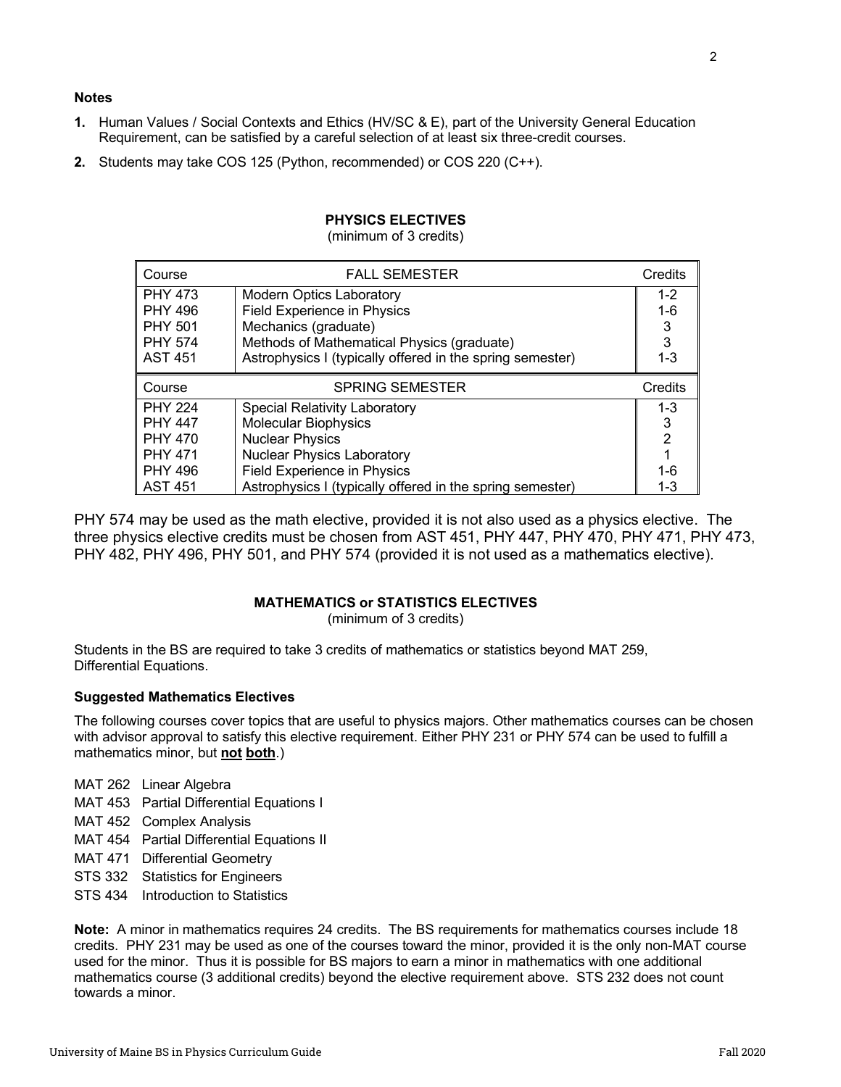## **Notes**

- **1.** Human Values / Social Contexts and Ethics (HV/SC & E), part of the University General Education Requirement, can be satisfied by a careful selection of at least six three-credit courses.
- **2.** Students may take COS 125 (Python, recommended) or COS 220 (C++).

| Course         | <b>FALL SEMESTER</b>                                      | Credits        |
|----------------|-----------------------------------------------------------|----------------|
| <b>PHY 473</b> | <b>Modern Optics Laboratory</b>                           | $1 - 2$        |
| <b>PHY 496</b> | <b>Field Experience in Physics</b>                        | $1 - 6$        |
| <b>PHY 501</b> | Mechanics (graduate)                                      | 3              |
| <b>PHY 574</b> | Methods of Mathematical Physics (graduate)                | 3              |
| <b>AST 451</b> | Astrophysics I (typically offered in the spring semester) | $1 - 3$        |
|                |                                                           |                |
| Course         | <b>SPRING SEMESTER</b>                                    | Credits        |
| <b>PHY 224</b> | Special Relativity Laboratory                             | $1 - 3$        |
| <b>PHY 447</b> | <b>Molecular Biophysics</b>                               | 3              |
| <b>PHY 470</b> | <b>Nuclear Physics</b>                                    | $\overline{2}$ |
| <b>PHY 471</b> | <b>Nuclear Physics Laboratory</b>                         |                |
| <b>PHY 496</b> | <b>Field Experience in Physics</b>                        | $1 - 6$        |

# **PHYSICS ELECTIVES**

(minimum of 3 credits)

PHY 574 may be used as the math elective, provided it is not also used as a physics elective. The three physics elective credits must be chosen from AST 451, PHY 447, PHY 470, PHY 471, PHY 473, PHY 482, PHY 496, PHY 501, and PHY 574 (provided it is not used as a mathematics elective).

### **MATHEMATICS or STATISTICS ELECTIVES**

(minimum of 3 credits)

Students in the BS are required to take 3 credits of mathematics or statistics beyond MAT 259, Differential Equations.

### **Suggested Mathematics Electives**

The following courses cover topics that are useful to physics majors. Other mathematics courses can be chosen with advisor approval to satisfy this elective requirement. Either PHY 231 or PHY 574 can be used to fulfill a mathematics minor, but **not both**.)

MAT 262 Linear Algebra

- MAT 453 Partial Differential Equations I
- MAT 452 Complex Analysis
- MAT 454 Partial Differential Equations II
- MAT 471 Differential Geometry
- STS 332 Statistics for Engineers
- STS 434 Introduction to Statistics

**Note:** A minor in mathematics requires 24 credits. The BS requirements for mathematics courses include 18 credits. PHY 231 may be used as one of the courses toward the minor, provided it is the only non-MAT course used for the minor. Thus it is possible for BS majors to earn a minor in mathematics with one additional mathematics course (3 additional credits) beyond the elective requirement above. STS 232 does not count towards a minor.